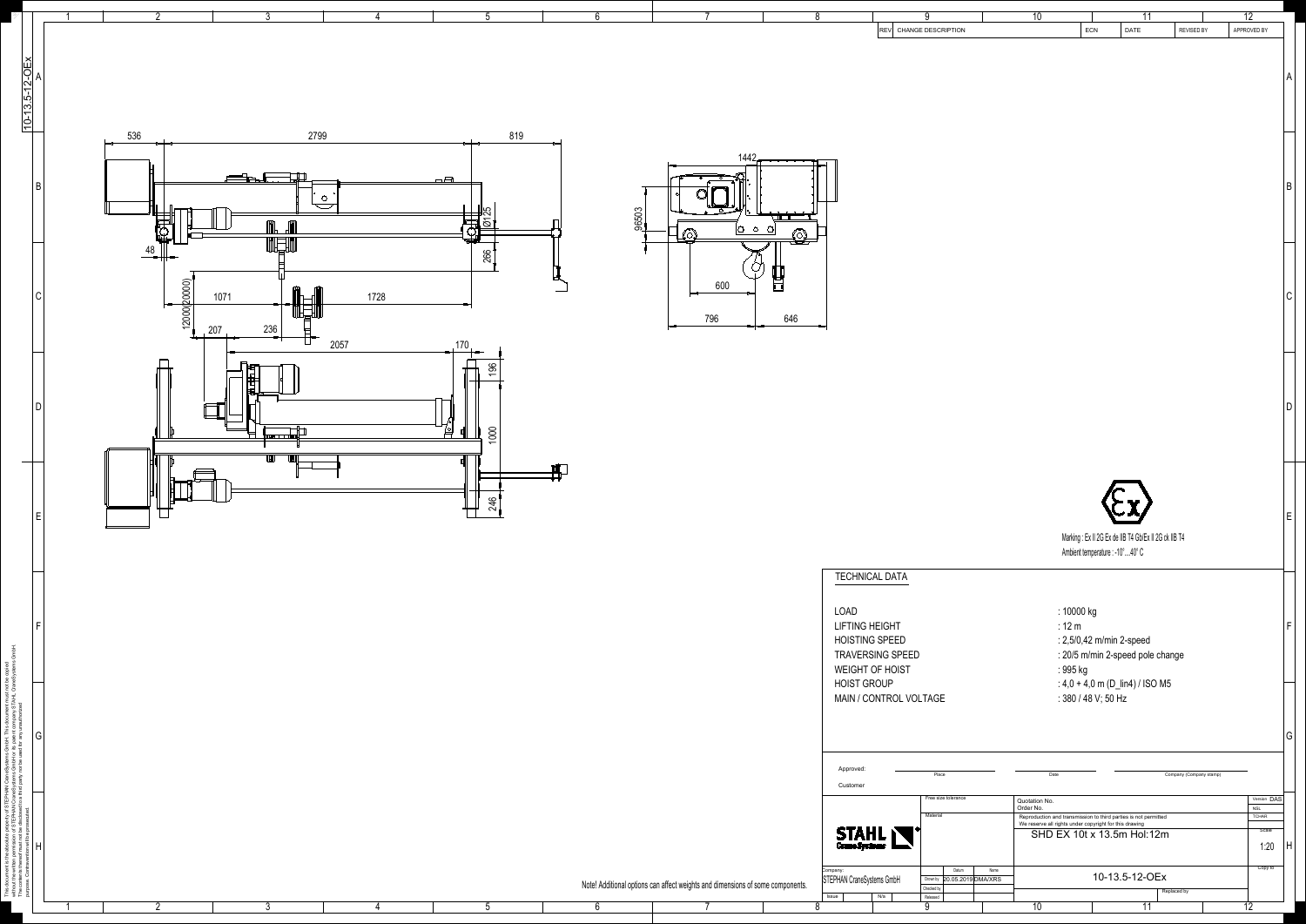|                                       | 8                        | <b>REV</b>                                 | 9<br>CHANGE DESCRIPTION                 | $\overline{10}$                                                                                                           | 11<br>ECN<br>DATE                                                                         | REVISED BY              | $\overline{12}$<br>APPROVED BY |              |
|---------------------------------------|--------------------------|--------------------------------------------|-----------------------------------------|---------------------------------------------------------------------------------------------------------------------------|-------------------------------------------------------------------------------------------|-------------------------|--------------------------------|--------------|
|                                       |                          |                                            |                                         |                                                                                                                           |                                                                                           |                         |                                |              |
|                                       |                          |                                            |                                         |                                                                                                                           |                                                                                           |                         |                                | A            |
|                                       |                          |                                            |                                         |                                                                                                                           |                                                                                           |                         |                                |              |
|                                       |                          |                                            |                                         |                                                                                                                           |                                                                                           |                         |                                |              |
|                                       |                          |                                            |                                         |                                                                                                                           |                                                                                           |                         |                                |              |
| 1442.                                 |                          |                                            |                                         |                                                                                                                           |                                                                                           |                         |                                |              |
|                                       |                          |                                            |                                         |                                                                                                                           |                                                                                           |                         |                                | B            |
|                                       |                          |                                            |                                         |                                                                                                                           |                                                                                           |                         |                                |              |
| $\circlearrowright$<br>$\circ$        | $\sqrt{11}$ T<br>$\circ$ |                                            |                                         |                                                                                                                           |                                                                                           |                         |                                |              |
|                                       |                          |                                            |                                         |                                                                                                                           |                                                                                           |                         |                                |              |
|                                       |                          |                                            |                                         |                                                                                                                           |                                                                                           |                         |                                |              |
| 600                                   |                          |                                            |                                         |                                                                                                                           |                                                                                           |                         |                                | $\mathsf C$  |
| 796                                   | 646                      |                                            |                                         |                                                                                                                           |                                                                                           |                         |                                |              |
|                                       |                          |                                            |                                         |                                                                                                                           |                                                                                           |                         |                                |              |
|                                       |                          |                                            |                                         |                                                                                                                           |                                                                                           |                         |                                |              |
|                                       |                          |                                            |                                         |                                                                                                                           |                                                                                           |                         |                                |              |
|                                       |                          |                                            |                                         |                                                                                                                           |                                                                                           |                         |                                | $\mathsf D$  |
|                                       |                          |                                            |                                         |                                                                                                                           |                                                                                           |                         |                                |              |
|                                       |                          |                                            |                                         |                                                                                                                           |                                                                                           |                         |                                |              |
|                                       |                          |                                            |                                         |                                                                                                                           |                                                                                           |                         |                                |              |
|                                       |                          |                                            |                                         |                                                                                                                           |                                                                                           |                         |                                |              |
|                                       |                          |                                            |                                         |                                                                                                                           |                                                                                           |                         |                                | $\mathsf E$  |
|                                       |                          |                                            |                                         |                                                                                                                           | Marking: Ex II 2G Ex de IIB T4 Gb/Ex II 2G ck IIB T4<br>Ambient temperature : -10°  40° C |                         |                                |              |
|                                       |                          | <b>TECHNICAL DATA</b>                      |                                         |                                                                                                                           |                                                                                           |                         |                                |              |
|                                       |                          |                                            |                                         |                                                                                                                           |                                                                                           |                         |                                |              |
|                                       |                          | <b>LOAD</b><br><b>LIFTING HEIGHT</b>       |                                         | : 10000 kg<br>$: 12 \text{ m}$                                                                                            |                                                                                           |                         |                                | $\mathsf F$  |
|                                       |                          | <b>HOISTING SPEED</b>                      |                                         |                                                                                                                           | : 2,5/0,42 m/min 2-speed                                                                  |                         |                                |              |
|                                       |                          | TRAVERSING SPEED<br><b>WEIGHT OF HOIST</b> |                                         | : 995 kg                                                                                                                  | : 20/5 m/min 2-speed pole change                                                          |                         |                                |              |
|                                       |                          | <b>HOIST GROUP</b>                         |                                         |                                                                                                                           | : $4,0 + 4,0$ m (D_lin4) / ISO M5                                                         |                         |                                |              |
|                                       |                          | MAIN / CONTROL VOLTAGE                     |                                         |                                                                                                                           | : 380 / 48 V; 50 Hz                                                                       |                         |                                |              |
|                                       |                          |                                            |                                         |                                                                                                                           |                                                                                           |                         |                                | G            |
|                                       |                          |                                            |                                         |                                                                                                                           |                                                                                           |                         |                                |              |
|                                       |                          | Approved:<br>Customer                      | Place                                   | Date                                                                                                                      |                                                                                           | Company (Company stamp) |                                |              |
|                                       |                          |                                            | Free size tolerance                     | Quotation No.<br>Order No.                                                                                                |                                                                                           |                         | Version DAS<br><b>NSL</b>      |              |
|                                       |                          |                                            | Material                                | Reproduction and transmission to third parties is not permitted<br>We reserve all rights under copyright for this drawing | SHD EX 10t x 13.5m Hol:12m                                                                |                         | <b>TCHAR</b><br>Scale          |              |
|                                       |                          | <b>STAHL</b>                               |                                         |                                                                                                                           |                                                                                           |                         | 1:20                           | $\mathsf{H}$ |
|                                       |                          | Company:<br>STEPHAN CraneSystems GmbH      | Datum<br>20.05.2019 DMA/XRS<br>Drown by | Name                                                                                                                      | 10-13.5-12-OEx                                                                            |                         | Copy to                        |              |
| ts and dimensions of some components. |                          | Issue<br>N/a                               | Checked by<br>Released                  |                                                                                                                           |                                                                                           | Replaced by             |                                |              |



 $\begin{array}{cccccccccccccccccc} 1 & 1 & 2 & 3 & 4 & 5 & 6 & 7 & 8 & 9 & 10 & 11 & 12 \end{array}$